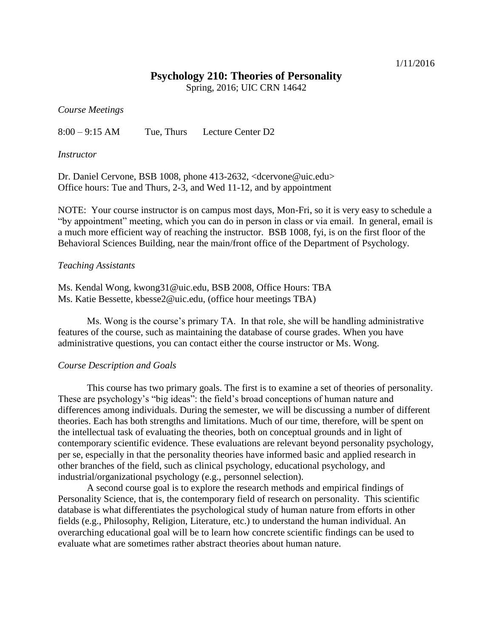### 1/11/2016

## **Psychology 210: Theories of Personality**

Spring, 2016; UIC CRN 14642

*Course Meetings*

8:00 – 9:15 AM Tue, Thurs Lecture Center D2

### *Instructor*

Dr. Daniel Cervone, BSB 1008, phone 413-2632, <dcervone@uic.edu> Office hours: Tue and Thurs, 2-3, and Wed 11-12, and by appointment

NOTE: Your course instructor is on campus most days, Mon-Fri, so it is very easy to schedule a "by appointment" meeting, which you can do in person in class or via email. In general, email is a much more efficient way of reaching the instructor. BSB 1008, fyi, is on the first floor of the Behavioral Sciences Building, near the main/front office of the Department of Psychology.

### *Teaching Assistants*

Ms. Kendal Wong, kwong31@uic.edu, BSB 2008, Office Hours: TBA Ms. Katie Bessette, kbesse2@uic.edu, (office hour meetings TBA)

Ms. Wong is the course's primary TA. In that role, she will be handling administrative features of the course, such as maintaining the database of course grades. When you have administrative questions, you can contact either the course instructor or Ms. Wong.

#### *Course Description and Goals*

This course has two primary goals. The first is to examine a set of theories of personality. These are psychology's "big ideas": the field's broad conceptions of human nature and differences among individuals. During the semester, we will be discussing a number of different theories. Each has both strengths and limitations. Much of our time, therefore, will be spent on the intellectual task of evaluating the theories, both on conceptual grounds and in light of contemporary scientific evidence. These evaluations are relevant beyond personality psychology, per se, especially in that the personality theories have informed basic and applied research in other branches of the field, such as clinical psychology, educational psychology, and industrial/organizational psychology (e.g., personnel selection).

A second course goal is to explore the research methods and empirical findings of Personality Science, that is, the contemporary field of research on personality. This scientific database is what differentiates the psychological study of human nature from efforts in other fields (e.g., Philosophy, Religion, Literature, etc.) to understand the human individual. An overarching educational goal will be to learn how concrete scientific findings can be used to evaluate what are sometimes rather abstract theories about human nature.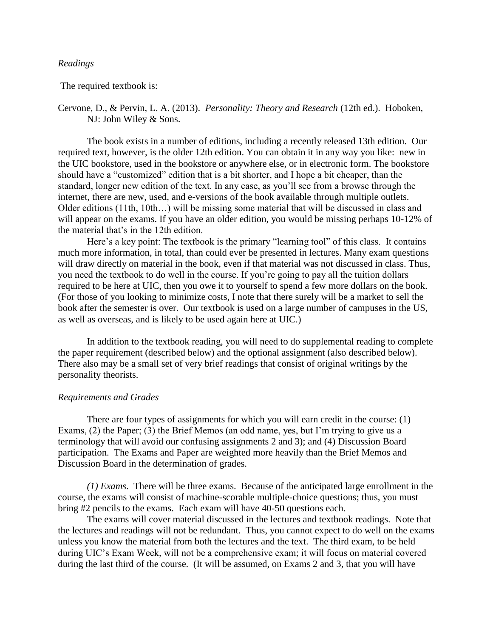### *Readings*

The required textbook is:

# Cervone, D., & Pervin, L. A. (2013). *Personality: Theory and Research* (12th ed.). Hoboken, NJ: John Wiley & Sons.

The book exists in a number of editions, including a recently released 13th edition. Our required text, however, is the older 12th edition. You can obtain it in any way you like: new in the UIC bookstore, used in the bookstore or anywhere else, or in electronic form. The bookstore should have a "customized" edition that is a bit shorter, and I hope a bit cheaper, than the standard, longer new edition of the text. In any case, as you'll see from a browse through the internet, there are new, used, and e-versions of the book available through multiple outlets. Older editions (11th, 10th…) will be missing some material that will be discussed in class and will appear on the exams. If you have an older edition, you would be missing perhaps 10-12% of the material that's in the 12th edition.

Here's a key point: The textbook is the primary "learning tool" of this class. It contains much more information, in total, than could ever be presented in lectures. Many exam questions will draw directly on material in the book, even if that material was not discussed in class. Thus, you need the textbook to do well in the course. If you're going to pay all the tuition dollars required to be here at UIC, then you owe it to yourself to spend a few more dollars on the book. (For those of you looking to minimize costs, I note that there surely will be a market to sell the book after the semester is over. Our textbook is used on a large number of campuses in the US, as well as overseas, and is likely to be used again here at UIC.)

In addition to the textbook reading, you will need to do supplemental reading to complete the paper requirement (described below) and the optional assignment (also described below). There also may be a small set of very brief readings that consist of original writings by the personality theorists.

## *Requirements and Grades*

There are four types of assignments for which you will earn credit in the course: (1) Exams, (2) the Paper; (3) the Brief Memos (an odd name, yes, but I'm trying to give us a terminology that will avoid our confusing assignments 2 and 3); and (4) Discussion Board participation. The Exams and Paper are weighted more heavily than the Brief Memos and Discussion Board in the determination of grades.

*(1) Exams*. There will be three exams. Because of the anticipated large enrollment in the course, the exams will consist of machine-scorable multiple-choice questions; thus, you must bring #2 pencils to the exams. Each exam will have 40-50 questions each.

The exams will cover material discussed in the lectures and textbook readings. Note that the lectures and readings will not be redundant. Thus, you cannot expect to do well on the exams unless you know the material from both the lectures and the text. The third exam, to be held during UIC's Exam Week, will not be a comprehensive exam; it will focus on material covered during the last third of the course. (It will be assumed, on Exams 2 and 3, that you will have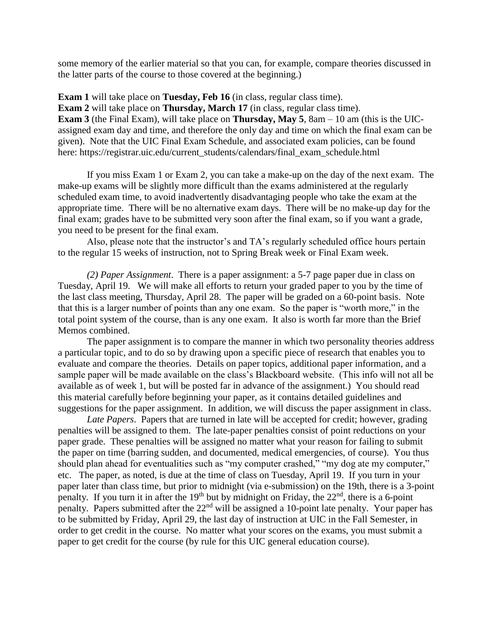some memory of the earlier material so that you can, for example, compare theories discussed in the latter parts of the course to those covered at the beginning.)

**Exam 1** will take place on **Tuesday, Feb 16** (in class, regular class time). **Exam 2** will take place on **Thursday, March 17** (in class, regular class time). **Exam 3** (the Final Exam), will take place on **Thursday, May 5**, 8am – 10 am (this is the UICassigned exam day and time, and therefore the only day and time on which the final exam can be given). Note that the UIC Final Exam Schedule, and associated exam policies, can be found here: https://registrar.uic.edu/current\_students/calendars/final\_exam\_schedule.html

If you miss Exam 1 or Exam 2, you can take a make-up on the day of the next exam. The make-up exams will be slightly more difficult than the exams administered at the regularly scheduled exam time, to avoid inadvertently disadvantaging people who take the exam at the appropriate time. There will be no alternative exam days. There will be no make-up day for the final exam; grades have to be submitted very soon after the final exam, so if you want a grade, you need to be present for the final exam.

Also, please note that the instructor's and TA's regularly scheduled office hours pertain to the regular 15 weeks of instruction, not to Spring Break week or Final Exam week.

*(2) Paper Assignment*. There is a paper assignment: a 5-7 page paper due in class on Tuesday, April 19. We will make all efforts to return your graded paper to you by the time of the last class meeting, Thursday, April 28. The paper will be graded on a 60-point basis. Note that this is a larger number of points than any one exam. So the paper is "worth more," in the total point system of the course, than is any one exam. It also is worth far more than the Brief Memos combined.

The paper assignment is to compare the manner in which two personality theories address a particular topic, and to do so by drawing upon a specific piece of research that enables you to evaluate and compare the theories. Details on paper topics, additional paper information, and a sample paper will be made available on the class's Blackboard website. (This info will not all be available as of week 1, but will be posted far in advance of the assignment.) You should read this material carefully before beginning your paper, as it contains detailed guidelines and suggestions for the paper assignment. In addition, we will discuss the paper assignment in class.

*Late Papers*. Papers that are turned in late will be accepted for credit; however, grading penalties will be assigned to them. The late-paper penalties consist of point reductions on your paper grade. These penalties will be assigned no matter what your reason for failing to submit the paper on time (barring sudden, and documented, medical emergencies, of course). You thus should plan ahead for eventualities such as "my computer crashed," "my dog ate my computer," etc. The paper, as noted, is due at the time of class on Tuesday, April 19. If you turn in your paper later than class time, but prior to midnight (via e-submission) on the 19th, there is a 3-point penalty. If you turn it in after the 19<sup>th</sup> but by midnight on Friday, the  $22<sup>nd</sup>$ , there is a 6-point penalty. Papers submitted after the  $22<sup>nd</sup>$  will be assigned a 10-point late penalty. Your paper has to be submitted by Friday, April 29, the last day of instruction at UIC in the Fall Semester, in order to get credit in the course. No matter what your scores on the exams, you must submit a paper to get credit for the course (by rule for this UIC general education course).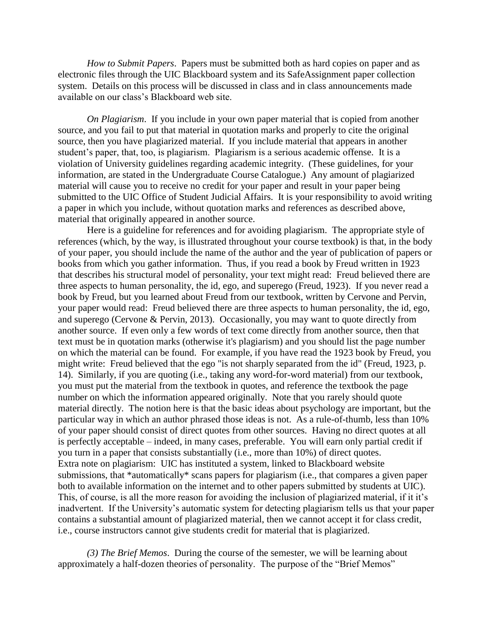*How to Submit Papers*. Papers must be submitted both as hard copies on paper and as electronic files through the UIC Blackboard system and its SafeAssignment paper collection system. Details on this process will be discussed in class and in class announcements made available on our class's Blackboard web site.

*On Plagiarism*. If you include in your own paper material that is copied from another source, and you fail to put that material in quotation marks and properly to cite the original source, then you have plagiarized material. If you include material that appears in another student's paper, that, too, is plagiarism. Plagiarism is a serious academic offense. It is a violation of University guidelines regarding academic integrity. (These guidelines, for your information, are stated in the Undergraduate Course Catalogue.) Any amount of plagiarized material will cause you to receive no credit for your paper and result in your paper being submitted to the UIC Office of Student Judicial Affairs. It is your responsibility to avoid writing a paper in which you include, without quotation marks and references as described above, material that originally appeared in another source.

Here is a guideline for references and for avoiding plagiarism. The appropriate style of references (which, by the way, is illustrated throughout your course textbook) is that, in the body of your paper, you should include the name of the author and the year of publication of papers or books from which you gather information. Thus, if you read a book by Freud written in 1923 that describes his structural model of personality, your text might read: Freud believed there are three aspects to human personality, the id, ego, and superego (Freud, 1923). If you never read a book by Freud, but you learned about Freud from our textbook, written by Cervone and Pervin, your paper would read: Freud believed there are three aspects to human personality, the id, ego, and superego (Cervone & Pervin, 2013). Occasionally, you may want to quote directly from another source. If even only a few words of text come directly from another source, then that text must be in quotation marks (otherwise it's plagiarism) and you should list the page number on which the material can be found. For example, if you have read the 1923 book by Freud, you might write: Freud believed that the ego "is not sharply separated from the id" (Freud, 1923, p. 14). Similarly, if you are quoting (i.e., taking any word-for-word material) from our textbook, you must put the material from the textbook in quotes, and reference the textbook the page number on which the information appeared originally. Note that you rarely should quote material directly. The notion here is that the basic ideas about psychology are important, but the particular way in which an author phrased those ideas is not. As a rule-of-thumb, less than 10% of your paper should consist of direct quotes from other sources. Having no direct quotes at all is perfectly acceptable – indeed, in many cases, preferable. You will earn only partial credit if you turn in a paper that consists substantially (i.e., more than 10%) of direct quotes. Extra note on plagiarism: UIC has instituted a system, linked to Blackboard website submissions, that \*automatically\* scans papers for plagiarism (i.e., that compares a given paper both to available information on the internet and to other papers submitted by students at UIC). This, of course, is all the more reason for avoiding the inclusion of plagiarized material, if it it's inadvertent. If the University's automatic system for detecting plagiarism tells us that your paper contains a substantial amount of plagiarized material, then we cannot accept it for class credit, i.e., course instructors cannot give students credit for material that is plagiarized.

*(3) The Brief Memos*. During the course of the semester, we will be learning about approximately a half-dozen theories of personality. The purpose of the "Brief Memos"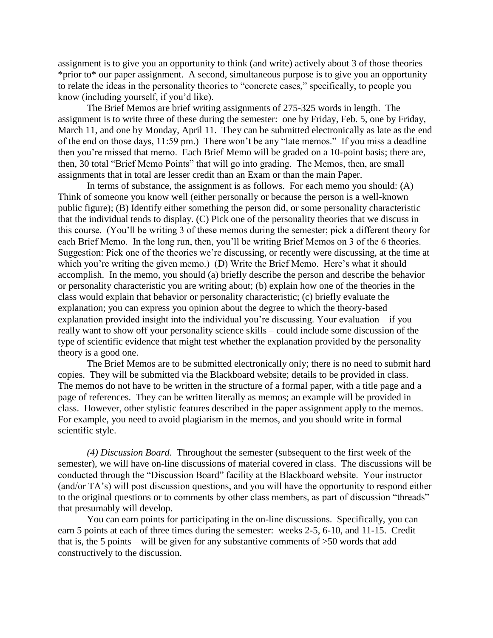assignment is to give you an opportunity to think (and write) actively about 3 of those theories \*prior to\* our paper assignment. A second, simultaneous purpose is to give you an opportunity to relate the ideas in the personality theories to "concrete cases," specifically, to people you know (including yourself, if you'd like).

The Brief Memos are brief writing assignments of 275-325 words in length. The assignment is to write three of these during the semester: one by Friday, Feb. 5, one by Friday, March 11, and one by Monday, April 11. They can be submitted electronically as late as the end of the end on those days, 11:59 pm.) There won't be any "late memos." If you miss a deadline then you're missed that memo. Each Brief Memo will be graded on a 10-point basis; there are, then, 30 total "Brief Memo Points" that will go into grading. The Memos, then, are small assignments that in total are lesser credit than an Exam or than the main Paper.

In terms of substance, the assignment is as follows. For each memo you should: (A) Think of someone you know well (either personally or because the person is a well-known public figure); (B) Identify either something the person did, or some personality characteristic that the individual tends to display. (C) Pick one of the personality theories that we discuss in this course. (You'll be writing 3 of these memos during the semester; pick a different theory for each Brief Memo. In the long run, then, you'll be writing Brief Memos on 3 of the 6 theories. Suggestion: Pick one of the theories we're discussing, or recently were discussing, at the time at which you're writing the given memo.) (D) Write the Brief Memo. Here's what it should accomplish. In the memo, you should (a) briefly describe the person and describe the behavior or personality characteristic you are writing about; (b) explain how one of the theories in the class would explain that behavior or personality characteristic; (c) briefly evaluate the explanation; you can express you opinion about the degree to which the theory-based explanation provided insight into the individual you're discussing. Your evaluation – if you really want to show off your personality science skills – could include some discussion of the type of scientific evidence that might test whether the explanation provided by the personality theory is a good one.

The Brief Memos are to be submitted electronically only; there is no need to submit hard copies. They will be submitted via the Blackboard website; details to be provided in class. The memos do not have to be written in the structure of a formal paper, with a title page and a page of references. They can be written literally as memos; an example will be provided in class. However, other stylistic features described in the paper assignment apply to the memos. For example, you need to avoid plagiarism in the memos, and you should write in formal scientific style.

*(4) Discussion Board*. Throughout the semester (subsequent to the first week of the semester), we will have on-line discussions of material covered in class. The discussions will be conducted through the "Discussion Board" facility at the Blackboard website. Your instructor (and/or TA's) will post discussion questions, and you will have the opportunity to respond either to the original questions or to comments by other class members, as part of discussion "threads" that presumably will develop.

You can earn points for participating in the on-line discussions. Specifically, you can earn 5 points at each of three times during the semester: weeks 2-5, 6-10, and 11-15. Credit – that is, the 5 points – will be given for any substantive comments of  $>50$  words that add constructively to the discussion.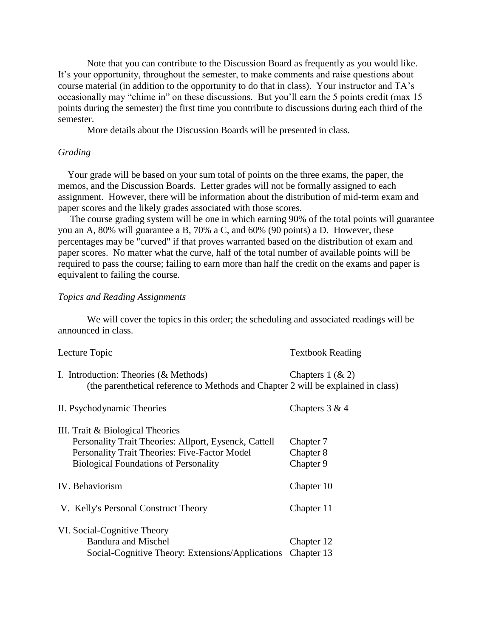Note that you can contribute to the Discussion Board as frequently as you would like. It's your opportunity, throughout the semester, to make comments and raise questions about course material (in addition to the opportunity to do that in class). Your instructor and TA's occasionally may "chime in" on these discussions. But you'll earn the 5 points credit (max 15 points during the semester) the first time you contribute to discussions during each third of the semester.

More details about the Discussion Boards will be presented in class.

### *Grading*

 Your grade will be based on your sum total of points on the three exams, the paper, the memos, and the Discussion Boards. Letter grades will not be formally assigned to each assignment. However, there will be information about the distribution of mid-term exam and paper scores and the likely grades associated with those scores.

 The course grading system will be one in which earning 90% of the total points will guarantee you an A, 80% will guarantee a B, 70% a C, and 60% (90 points) a D. However, these percentages may be "curved" if that proves warranted based on the distribution of exam and paper scores. No matter what the curve, half of the total number of available points will be required to pass the course; failing to earn more than half the credit on the exams and paper is equivalent to failing the course.

## *Topics and Reading Assignments*

We will cover the topics in this order; the scheduling and associated readings will be announced in class.

| Lecture Topic                                                                                                                                                                              | <b>Textbook Reading</b>             |
|--------------------------------------------------------------------------------------------------------------------------------------------------------------------------------------------|-------------------------------------|
| I. Introduction: Theories $(\&$ Methods)<br>(the parenthetical reference to Methods and Chapter 2 will be explained in class)                                                              | Chapters $1$ ( $\& 2$ )             |
| II. Psychodynamic Theories                                                                                                                                                                 | Chapters $3 & 4$                    |
| III. Trait & Biological Theories<br>Personality Trait Theories: Allport, Eysenck, Cattell<br>Personality Trait Theories: Five-Factor Model<br><b>Biological Foundations of Personality</b> | Chapter 7<br>Chapter 8<br>Chapter 9 |
| IV. Behaviorism                                                                                                                                                                            | Chapter 10                          |
| V. Kelly's Personal Construct Theory                                                                                                                                                       | Chapter 11                          |
| VI. Social-Cognitive Theory<br><b>Bandura and Mischel</b><br>Social-Cognitive Theory: Extensions/Applications                                                                              | Chapter 12<br>Chapter 13            |